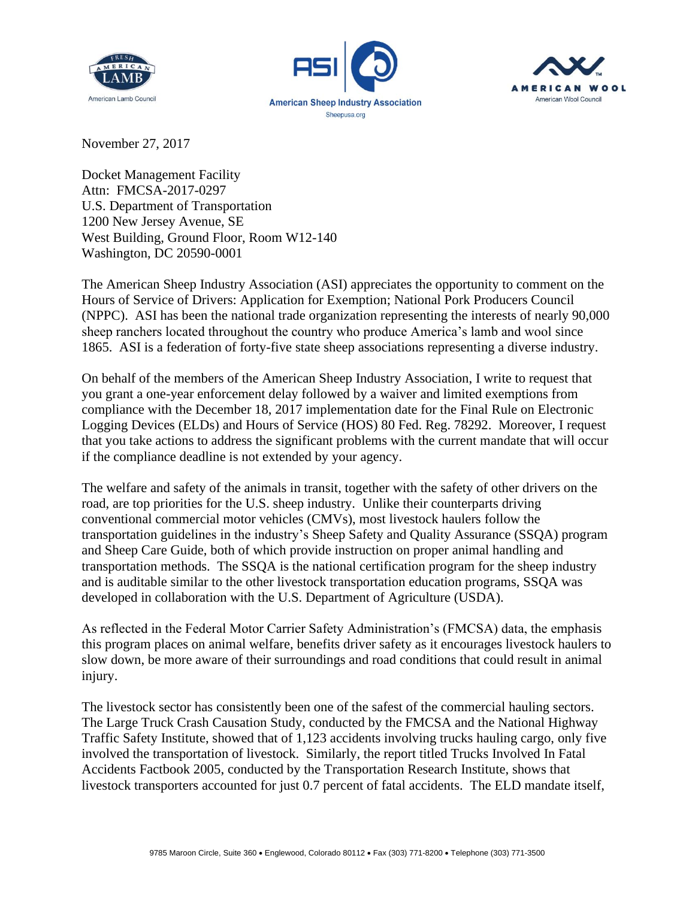





November 27, 2017

Docket Management Facility Attn: FMCSA-2017-0297 U.S. Department of Transportation 1200 New Jersey Avenue, SE West Building, Ground Floor, Room W12-140 Washington, DC 20590-0001

The American Sheep Industry Association (ASI) appreciates the opportunity to comment on the Hours of Service of Drivers: Application for Exemption; National Pork Producers Council (NPPC). ASI has been the national trade organization representing the interests of nearly 90,000 sheep ranchers located throughout the country who produce America's lamb and wool since 1865. ASI is a federation of forty-five state sheep associations representing a diverse industry.

On behalf of the members of the American Sheep Industry Association, I write to request that you grant a one-year enforcement delay followed by a waiver and limited exemptions from compliance with the December 18, 2017 implementation date for the Final Rule on Electronic Logging Devices (ELDs) and Hours of Service (HOS) 80 Fed. Reg. 78292. Moreover, I request that you take actions to address the significant problems with the current mandate that will occur if the compliance deadline is not extended by your agency.

The welfare and safety of the animals in transit, together with the safety of other drivers on the road, are top priorities for the U.S. sheep industry. Unlike their counterparts driving conventional commercial motor vehicles (CMVs), most livestock haulers follow the transportation guidelines in the industry's Sheep Safety and Quality Assurance (SSQA) program and Sheep Care Guide, both of which provide instruction on proper animal handling and transportation methods. The SSQA is the national certification program for the sheep industry and is auditable similar to the other livestock transportation education programs, SSQA was developed in collaboration with the U.S. Department of Agriculture (USDA).

As reflected in the Federal Motor Carrier Safety Administration's (FMCSA) data, the emphasis this program places on animal welfare, benefits driver safety as it encourages livestock haulers to slow down, be more aware of their surroundings and road conditions that could result in animal injury.

The livestock sector has consistently been one of the safest of the commercial hauling sectors. The Large Truck Crash Causation Study, conducted by the FMCSA and the National Highway Traffic Safety Institute, showed that of 1,123 accidents involving trucks hauling cargo, only five involved the transportation of livestock. Similarly, the report titled Trucks Involved In Fatal Accidents Factbook 2005, conducted by the Transportation Research Institute, shows that livestock transporters accounted for just 0.7 percent of fatal accidents. The ELD mandate itself,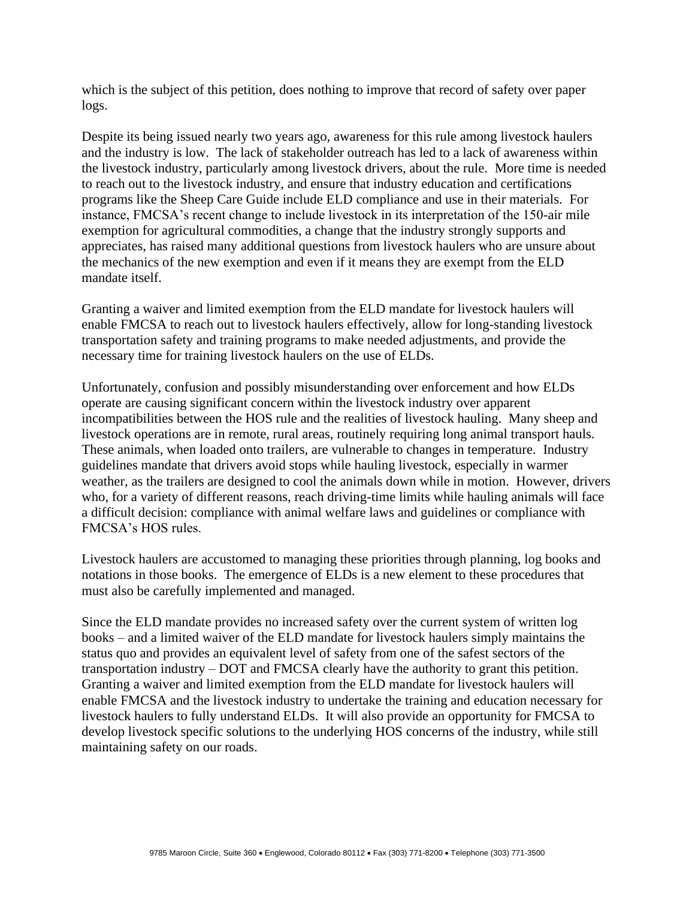which is the subject of this petition, does nothing to improve that record of safety over paper logs.

Despite its being issued nearly two years ago, awareness for this rule among livestock haulers and the industry is low. The lack of stakeholder outreach has led to a lack of awareness within the livestock industry, particularly among livestock drivers, about the rule. More time is needed to reach out to the livestock industry, and ensure that industry education and certifications programs like the Sheep Care Guide include ELD compliance and use in their materials. For instance, FMCSA's recent change to include livestock in its interpretation of the 150-air mile exemption for agricultural commodities, a change that the industry strongly supports and appreciates, has raised many additional questions from livestock haulers who are unsure about the mechanics of the new exemption and even if it means they are exempt from the ELD mandate itself.

Granting a waiver and limited exemption from the ELD mandate for livestock haulers will enable FMCSA to reach out to livestock haulers effectively, allow for long-standing livestock transportation safety and training programs to make needed adjustments, and provide the necessary time for training livestock haulers on the use of ELDs.

Unfortunately, confusion and possibly misunderstanding over enforcement and how ELDs operate are causing significant concern within the livestock industry over apparent incompatibilities between the HOS rule and the realities of livestock hauling. Many sheep and livestock operations are in remote, rural areas, routinely requiring long animal transport hauls. These animals, when loaded onto trailers, are vulnerable to changes in temperature. Industry guidelines mandate that drivers avoid stops while hauling livestock, especially in warmer weather, as the trailers are designed to cool the animals down while in motion. However, drivers who, for a variety of different reasons, reach driving-time limits while hauling animals will face a difficult decision: compliance with animal welfare laws and guidelines or compliance with FMCSA's HOS rules.

Livestock haulers are accustomed to managing these priorities through planning, log books and notations in those books. The emergence of ELDs is a new element to these procedures that must also be carefully implemented and managed.

Since the ELD mandate provides no increased safety over the current system of written log books – and a limited waiver of the ELD mandate for livestock haulers simply maintains the status quo and provides an equivalent level of safety from one of the safest sectors of the transportation industry – DOT and FMCSA clearly have the authority to grant this petition. Granting a waiver and limited exemption from the ELD mandate for livestock haulers will enable FMCSA and the livestock industry to undertake the training and education necessary for livestock haulers to fully understand ELDs. It will also provide an opportunity for FMCSA to develop livestock specific solutions to the underlying HOS concerns of the industry, while still maintaining safety on our roads.